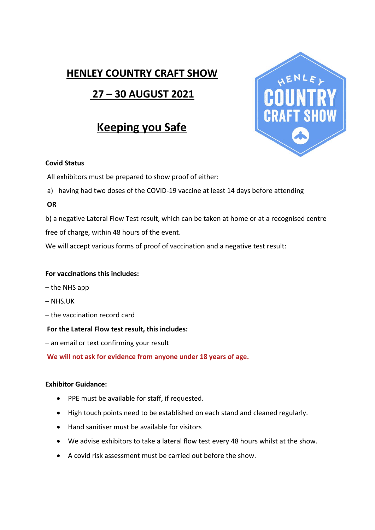### **HENLEY COUNTRY CRAFT SHOW**

## **27 – 30 AUGUST 2021**

# **Keeping you Safe**



#### **Covid Status**

All exhibitors must be prepared to show proof of either:

a) having had two doses of the COVID-19 vaccine at least 14 days before attending

#### **OR**

b) a negative Lateral Flow Test result, which can be taken at home or at a recognised centre free of charge, within 48 hours of the event.

We will accept various forms of proof of vaccination and a negative test result:

#### **For vaccinations this includes:**

- the NHS app
- NHS.UK
- the vaccination record card

#### **For the Lateral Flow test result, this includes:**

– an email or text confirming your result

**We will not ask for evidence from anyone under 18 years of age.**

#### **Exhibitor Guidance:**

- PPE must be available for staff, if requested.
- High touch points need to be established on each stand and cleaned regularly.
- Hand sanitiser must be available for visitors
- We advise exhibitors to take a lateral flow test every 48 hours whilst at the show.
- A covid risk assessment must be carried out before the show.